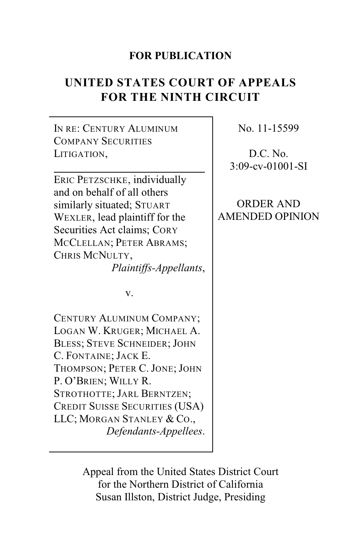# **FOR PUBLICATION**

# **UNITED STATES COURT OF APPEALS FOR THE NINTH CIRCUIT**

IN RE: CENTURY ALUMINUM COMPANY SECURITIES LITIGATION,

ERIC PETZSCHKE, individually and on behalf of all others similarly situated; STUART WEXLER, lead plaintiff for the Securities Act claims; CORY MCCLELLAN; PETER ABRAMS; CHRIS MCNULTY,

*Plaintiffs-Appellants*,

v.

CENTURY ALUMINUM COMPANY; LOGAN W. KRUGER; MICHAEL A. BLESS; STEVE SCHNEIDER; JOHN C. FONTAINE; JACK E. THOMPSON; PETER C. JONE; JOHN P. O'BRIEN; WILLY R. STROTHOTTE; JARL BERNTZEN; CREDIT SUISSE SECURITIES (USA) LLC; MORGAN STANLEY & CO., *Defendants-Appellees*. No. 11-15599

D.C. No. 3:09-cv-01001-SI

ORDER AND AMENDED OPINION

Appeal from the United States District Court for the Northern District of California Susan Illston, District Judge, Presiding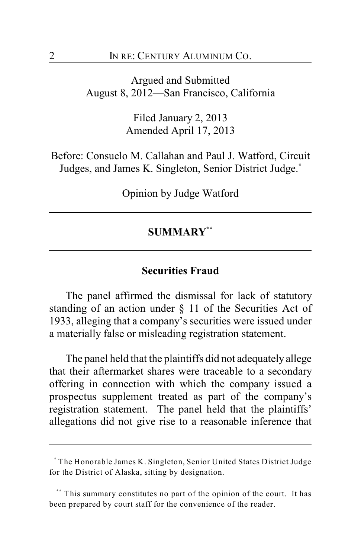Argued and Submitted August 8, 2012—San Francisco, California

> Filed January 2, 2013 Amended April 17, 2013

Before: Consuelo M. Callahan and Paul J. Watford, Circuit Judges, and James K. Singleton, Senior District Judge.**\***

Opinion by Judge Watford

## **SUMMARY \*\***

#### **Securities Fraud**

The panel affirmed the dismissal for lack of statutory standing of an action under  $\S$  11 of the Securities Act of 1933, alleging that a company's securities were issued under a materially false or misleading registration statement.

The panel held that the plaintiffs did not adequately allege that their aftermarket shares were traceable to a secondary offering in connection with which the company issued a prospectus supplement treated as part of the company's registration statement. The panel held that the plaintiffs' allegations did not give rise to a reasonable inference that

The Honorable James K. Singleton, Senior United States District Judge **\*** for the District of Alaska, sitting by designation.

<sup>\*\*\*</sup> This summary constitutes no part of the opinion of the court. It has been prepared by court staff for the convenience of the reader.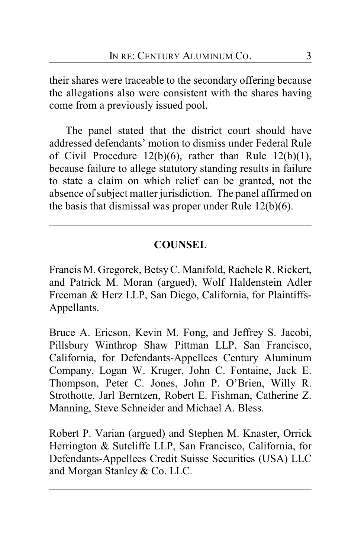their shares were traceable to the secondary offering because the allegations also were consistent with the shares having come from a previously issued pool.

The panel stated that the district court should have addressed defendants' motion to dismiss under Federal Rule of Civil Procedure  $12(b)(6)$ , rather than Rule  $12(b)(1)$ , because failure to allege statutory standing results in failure to state a claim on which relief can be granted, not the absence of subject matter jurisdiction. The panel affirmed on the basis that dismissal was proper under Rule 12(b)(6).

## **COUNSEL**

Francis M. Gregorek, BetsyC. Manifold, Rachele R. Rickert, and Patrick M. Moran (argued), Wolf Haldenstein Adler Freeman & Herz LLP, San Diego, California, for Plaintiffs-Appellants.

Bruce A. Ericson, Kevin M. Fong, and Jeffrey S. Jacobi, Pillsbury Winthrop Shaw Pittman LLP, San Francisco, California, for Defendants-Appellees Century Aluminum Company, Logan W. Kruger, John C. Fontaine, Jack E. Thompson, Peter C. Jones, John P. O'Brien, Willy R. Strothotte, Jarl Berntzen, Robert E. Fishman, Catherine Z. Manning, Steve Schneider and Michael A. Bless.

Robert P. Varian (argued) and Stephen M. Knaster, Orrick Herrington & Sutcliffe LLP, San Francisco, California, for Defendants-Appellees Credit Suisse Securities (USA) LLC and Morgan Stanley & Co. LLC.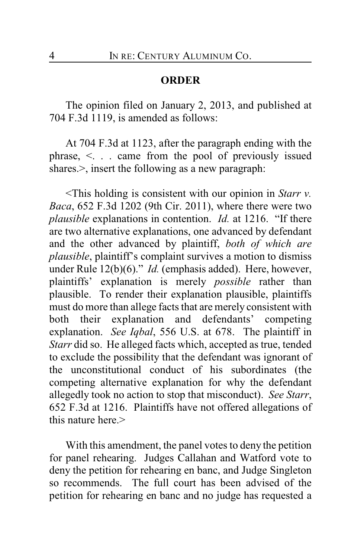## **ORDER**

The opinion filed on January 2, 2013, and published at 704 F.3d 1119, is amended as follows:

At 704 F.3d at 1123, after the paragraph ending with the phrase, <. . . came from the pool of previously issued shares.  $>$ , insert the following as a new paragraph:

<This holding is consistent with our opinion in *Starr v. Baca*, 652 F.3d 1202 (9th Cir. 2011), where there were two *plausible* explanations in contention. *Id.* at 1216. "If there are two alternative explanations, one advanced by defendant and the other advanced by plaintiff, *both of which are plausible*, plaintiff's complaint survives a motion to dismiss under Rule 12(b)(6)." *Id.* (emphasis added). Here, however, plaintiffs' explanation is merely *possible* rather than plausible. To render their explanation plausible, plaintiffs must do more than allege facts that are merely consistent with both their explanation and defendants' competing explanation. *See Iqbal*, 556 U.S. at 678. The plaintiff in *Starr* did so. He alleged facts which, accepted as true, tended to exclude the possibility that the defendant was ignorant of the unconstitutional conduct of his subordinates (the competing alternative explanation for why the defendant allegedly took no action to stop that misconduct). *See Starr*, 652 F.3d at 1216. Plaintiffs have not offered allegations of this nature here  $>$ 

With this amendment, the panel votes to deny the petition for panel rehearing. Judges Callahan and Watford vote to deny the petition for rehearing en banc, and Judge Singleton so recommends. The full court has been advised of the petition for rehearing en banc and no judge has requested a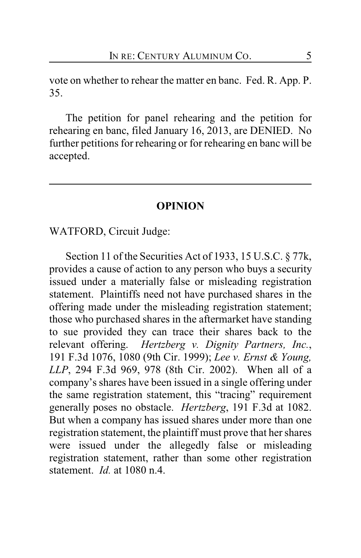vote on whether to rehear the matter en banc. Fed. R. App. P. 35.

The petition for panel rehearing and the petition for rehearing en banc, filed January 16, 2013, are DENIED. No further petitions for rehearing or for rehearing en banc will be accepted.

### **OPINION**

WATFORD, Circuit Judge:

Section 11 of the Securities Act of 1933, 15 U.S.C. § 77k, provides a cause of action to any person who buys a security issued under a materially false or misleading registration statement. Plaintiffs need not have purchased shares in the offering made under the misleading registration statement; those who purchased shares in the aftermarket have standing to sue provided they can trace their shares back to the relevant offering. *Hertzberg v. Dignity Partners, Inc.*, 191 F.3d 1076, 1080 (9th Cir. 1999); *Lee v. Ernst & Young, LLP*, 294 F.3d 969, 978 (8th Cir. 2002). When all of a company's shares have been issued in a single offering under the same registration statement, this "tracing" requirement generally poses no obstacle. *Hertzberg*, 191 F.3d at 1082. But when a company has issued shares under more than one registration statement, the plaintiff must prove that her shares were issued under the allegedly false or misleading registration statement, rather than some other registration statement. *Id.* at 1080 n.4.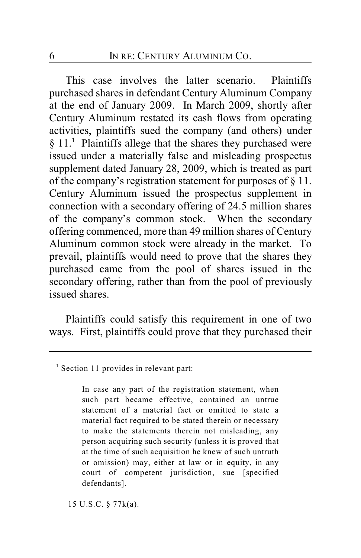This case involves the latter scenario. Plaintiffs purchased shares in defendant Century Aluminum Company at the end of January 2009. In March 2009, shortly after Century Aluminum restated its cash flows from operating activities, plaintiffs sued the company (and others) under § 11.<sup>1</sup> Plaintiffs allege that the shares they purchased were issued under a materially false and misleading prospectus supplement dated January 28, 2009, which is treated as part of the company's registration statement for purposes of § 11. Century Aluminum issued the prospectus supplement in connection with a secondary offering of 24.5 million shares of the company's common stock. When the secondary offering commenced, more than 49 million shares of Century Aluminum common stock were already in the market. To prevail, plaintiffs would need to prove that the shares they purchased came from the pool of shares issued in the secondary offering, rather than from the pool of previously issued shares.

Plaintiffs could satisfy this requirement in one of two ways. First, plaintiffs could prove that they purchased their

In case any part of the registration statement, when such part became effective, contained an untrue statement of a material fact or omitted to state a material fact required to be stated therein or necessary to make the statements therein not misleading, any person acquiring such security (unless it is proved that at the time of such acquisition he knew of such untruth or omission) may, either at law or in equity, in any court of competent jurisdiction, sue [specified defendants].

15 U.S.C. § 77k(a).

<sup>&</sup>lt;sup>1</sup> Section 11 provides in relevant part: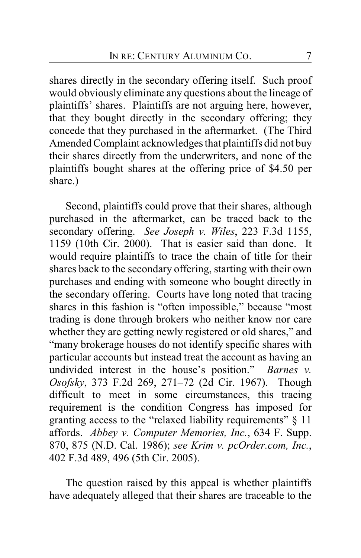shares directly in the secondary offering itself. Such proof would obviously eliminate any questions about the lineage of plaintiffs' shares. Plaintiffs are not arguing here, however, that they bought directly in the secondary offering; they concede that they purchased in the aftermarket. (The Third Amended Complaint acknowledges that plaintiffs did not buy their shares directly from the underwriters, and none of the plaintiffs bought shares at the offering price of \$4.50 per share.)

Second, plaintiffs could prove that their shares, although purchased in the aftermarket, can be traced back to the secondary offering. *See Joseph v. Wiles*, 223 F.3d 1155, 1159 (10th Cir. 2000). That is easier said than done. It would require plaintiffs to trace the chain of title for their shares back to the secondary offering, starting with their own purchases and ending with someone who bought directly in the secondary offering. Courts have long noted that tracing shares in this fashion is "often impossible," because "most trading is done through brokers who neither know nor care whether they are getting newly registered or old shares," and "many brokerage houses do not identify specific shares with particular accounts but instead treat the account as having an undivided interest in the house's position." *Barnes v. Osofsky*, 373 F.2d 269, 271–72 (2d Cir. 1967). Though difficult to meet in some circumstances, this tracing requirement is the condition Congress has imposed for granting access to the "relaxed liability requirements" § 11 affords. *Abbey v. Computer Memories, Inc.*, 634 F. Supp. 870, 875 (N.D. Cal. 1986); *see Krim v. pcOrder.com, Inc.*, 402 F.3d 489, 496 (5th Cir. 2005).

The question raised by this appeal is whether plaintiffs have adequately alleged that their shares are traceable to the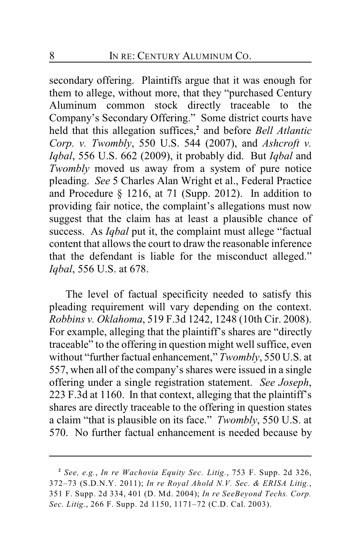secondary offering. Plaintiffs argue that it was enough for them to allege, without more, that they "purchased Century Aluminum common stock directly traceable to the Company's Secondary Offering." Some district courts have held that this allegation suffices,<sup>2</sup> and before *Bell Atlantic Corp. v. Twombly*, 550 U.S. 544 (2007), and *Ashcroft v. Iqbal*, 556 U.S. 662 (2009), it probably did. But *Iqbal* and *Twombly* moved us away from a system of pure notice pleading. *See* 5 Charles Alan Wright et al., Federal Practice and Procedure § 1216, at 71 (Supp. 2012). In addition to providing fair notice, the complaint's allegations must now suggest that the claim has at least a plausible chance of success. As *Iqbal* put it, the complaint must allege "factual content that allows the court to draw the reasonable inference that the defendant is liable for the misconduct alleged." *Iqbal*, 556 U.S. at 678.

The level of factual specificity needed to satisfy this pleading requirement will vary depending on the context. *Robbins v. Oklahoma*, 519 F.3d 1242, 1248 (10th Cir. 2008). For example, alleging that the plaintiff's shares are "directly traceable" to the offering in question might well suffice, even without "further factual enhancement," *Twombly*, 550 U.S. at 557, when all of the company's shares were issued in a single offering under a single registration statement. *See Joseph*, 223 F.3d at 1160. In that context, alleging that the plaintiff's shares are directly traceable to the offering in question states a claim "that is plausible on its face." *Twombly*, 550 U.S. at 570. No further factual enhancement is needed because by

*See, e.g.*, *In re Wachovia Equity Sec. Litig.*, 753 F. Supp. 2d 326, **<sup>2</sup>** 372–73 (S.D.N.Y. 2011); *In re Royal Ahold N.V. Sec. & ERISA Litig.*, 351 F. Supp. 2d 334, 401 (D. Md. 2004); *In re SeeBeyond Techs. Corp. Sec. Litig*., 266 F. Supp. 2d 1150, 1171–72 (C.D. Cal. 2003).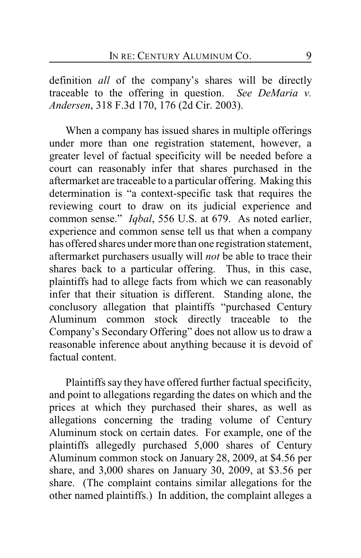definition *all* of the company's shares will be directly traceable to the offering in question. *See DeMaria v. Andersen*, 318 F.3d 170, 176 (2d Cir. 2003).

When a company has issued shares in multiple offerings under more than one registration statement, however, a greater level of factual specificity will be needed before a court can reasonably infer that shares purchased in the aftermarket are traceable to a particular offering. Making this determination is "a context-specific task that requires the reviewing court to draw on its judicial experience and common sense." *Iqbal*, 556 U.S. at 679. As noted earlier, experience and common sense tell us that when a company has offered shares under more than one registration statement, aftermarket purchasers usually will *not* be able to trace their shares back to a particular offering. Thus, in this case, plaintiffs had to allege facts from which we can reasonably infer that their situation is different. Standing alone, the conclusory allegation that plaintiffs "purchased Century Aluminum common stock directly traceable to the Company's Secondary Offering" does not allow us to draw a reasonable inference about anything because it is devoid of factual content.

Plaintiffs say they have offered further factual specificity, and point to allegations regarding the dates on which and the prices at which they purchased their shares, as well as allegations concerning the trading volume of Century Aluminum stock on certain dates. For example, one of the plaintiffs allegedly purchased 5,000 shares of Century Aluminum common stock on January 28, 2009, at \$4.56 per share, and 3,000 shares on January 30, 2009, at \$3.56 per share. (The complaint contains similar allegations for the other named plaintiffs.) In addition, the complaint alleges a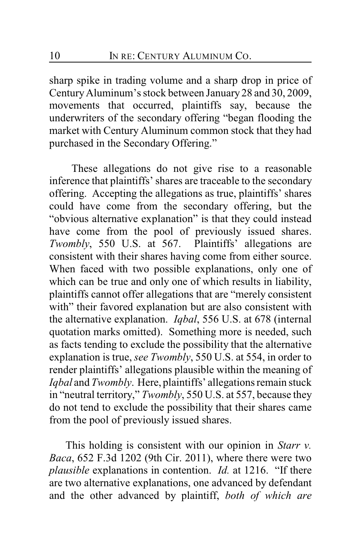sharp spike in trading volume and a sharp drop in price of Century Aluminum's stock between January 28 and 30, 2009, movements that occurred, plaintiffs say, because the underwriters of the secondary offering "began flooding the market with Century Aluminum common stock that they had purchased in the Secondary Offering."

 These allegations do not give rise to a reasonable inference that plaintiffs' shares are traceable to the secondary offering. Accepting the allegations as true, plaintiffs' shares could have come from the secondary offering, but the "obvious alternative explanation" is that they could instead have come from the pool of previously issued shares. *Twombly*, 550 U.S. at 567. Plaintiffs' allegations are consistent with their shares having come from either source. When faced with two possible explanations, only one of which can be true and only one of which results in liability, plaintiffs cannot offer allegations that are "merely consistent with" their favored explanation but are also consistent with the alternative explanation. *Iqbal*, 556 U.S. at 678 (internal quotation marks omitted). Something more is needed, such as facts tending to exclude the possibility that the alternative explanation is true, *see Twombly*, 550 U.S. at 554, in order to render plaintiffs' allegations plausible within the meaning of *Iqbal* and *Twombly*. Here, plaintiffs' allegations remain stuck in "neutral territory," *Twombly*, 550 U.S. at 557, because they do not tend to exclude the possibility that their shares came from the pool of previously issued shares.

This holding is consistent with our opinion in *Starr v. Baca*, 652 F.3d 1202 (9th Cir. 2011), where there were two *plausible* explanations in contention. *Id.* at 1216. "If there are two alternative explanations, one advanced by defendant and the other advanced by plaintiff, *both of which are*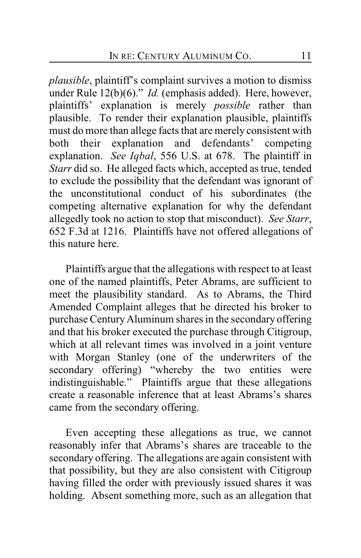*plausible*, plaintiff's complaint survives a motion to dismiss under Rule 12(b)(6)." *Id.* (emphasis added).Here, however, plaintiffs' explanation is merely *possible* rather than plausible. To render their explanation plausible, plaintiffs must do more than allege facts that are merely consistent with both their explanation and defendants' competing explanation. *See Iqbal*, 556 U.S. at 678. The plaintiff in *Starr* did so. He alleged facts which, accepted as true, tended to exclude the possibility that the defendant was ignorant of the unconstitutional conduct of his subordinates (the competing alternative explanation for why the defendant allegedly took no action to stop that misconduct). *See Starr*, 652 F.3d at 1216. Plaintiffs have not offered allegations of this nature here.

Plaintiffs argue that the allegations with respect to at least one of the named plaintiffs, Peter Abrams, are sufficient to meet the plausibility standard. As to Abrams, the Third Amended Complaint alleges that he directed his broker to purchase Century Aluminum shares in the secondary offering and that his broker executed the purchase through Citigroup, which at all relevant times was involved in a joint venture with Morgan Stanley (one of the underwriters of the secondary offering) "whereby the two entities were indistinguishable." Plaintiffs argue that these allegations create a reasonable inference that at least Abrams's shares came from the secondary offering.

Even accepting these allegations as true, we cannot reasonably infer that Abrams's shares are traceable to the secondary offering. The allegations are again consistent with that possibility, but they are also consistent with Citigroup having filled the order with previously issued shares it was holding. Absent something more, such as an allegation that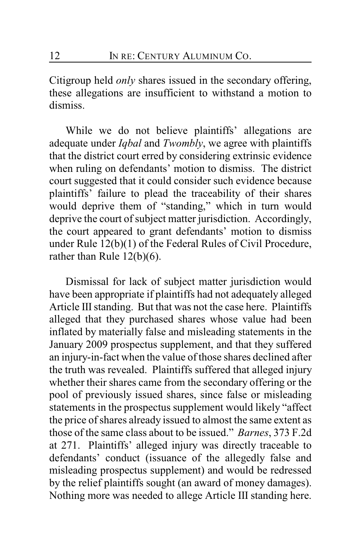Citigroup held *only* shares issued in the secondary offering, these allegations are insufficient to withstand a motion to dismiss.

While we do not believe plaintiffs' allegations are adequate under *Iqbal* and *Twombly*, we agree with plaintiffs that the district court erred by considering extrinsic evidence when ruling on defendants' motion to dismiss. The district court suggested that it could consider such evidence because plaintiffs' failure to plead the traceability of their shares would deprive them of "standing," which in turn would deprive the court of subject matter jurisdiction. Accordingly, the court appeared to grant defendants' motion to dismiss under Rule 12(b)(1) of the Federal Rules of Civil Procedure, rather than Rule 12(b)(6).

Dismissal for lack of subject matter jurisdiction would have been appropriate if plaintiffs had not adequately alleged Article III standing. But that was not the case here. Plaintiffs alleged that they purchased shares whose value had been inflated by materially false and misleading statements in the January 2009 prospectus supplement, and that they suffered an injury-in-fact when the value of those shares declined after the truth was revealed. Plaintiffs suffered that alleged injury whether their shares came from the secondary offering or the pool of previously issued shares, since false or misleading statements in the prospectus supplement would likely "affect the price of shares already issued to almost the same extent as those of the same class about to be issued." *Barnes*, 373 F.2d at 271. Plaintiffs' alleged injury was directly traceable to defendants' conduct (issuance of the allegedly false and misleading prospectus supplement) and would be redressed by the relief plaintiffs sought (an award of money damages). Nothing more was needed to allege Article III standing here.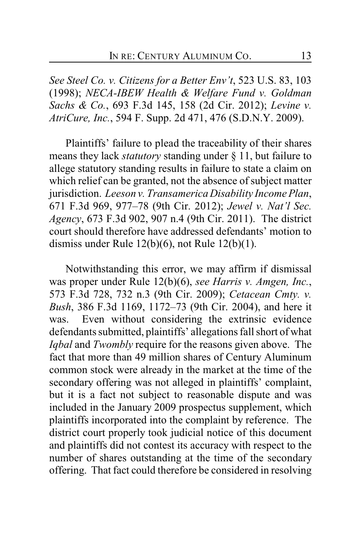*See Steel Co. v. Citizens for a Better Env't*, 523 U.S. 83, 103 (1998); *NECA-IBEW Health & Welfare Fund v. Goldman Sachs & Co.*, 693 F.3d 145, 158 (2d Cir. 2012); *Levine v. AtriCure, Inc.*, 594 F. Supp. 2d 471, 476 (S.D.N.Y. 2009).

Plaintiffs' failure to plead the traceability of their shares means they lack *statutory* standing under § 11, but failure to allege statutory standing results in failure to state a claim on which relief can be granted, not the absence of subject matter jurisdiction. *Leeson v. Transamerica Disability Income Plan*, 671 F.3d 969, 977–78 (9th Cir. 2012); *Jewel v. Nat'l Sec. Agency*, 673 F.3d 902, 907 n.4 (9th Cir. 2011). The district court should therefore have addressed defendants' motion to dismiss under Rule 12(b)(6), not Rule 12(b)(1).

Notwithstanding this error, we may affirm if dismissal was proper under Rule 12(b)(6), *see Harris v. Amgen, Inc.*, 573 F.3d 728, 732 n.3 (9th Cir. 2009); *Cetacean Cmty. v. Bush*, 386 F.3d 1169, 1172–73 (9th Cir. 2004), and here it was. Even without considering the extrinsic evidence defendants submitted, plaintiffs' allegations fall short of what *Iqbal* and *Twombly* require for the reasons given above. The fact that more than 49 million shares of Century Aluminum common stock were already in the market at the time of the secondary offering was not alleged in plaintiffs' complaint, but it is a fact not subject to reasonable dispute and was included in the January 2009 prospectus supplement, which plaintiffs incorporated into the complaint by reference. The district court properly took judicial notice of this document and plaintiffs did not contest its accuracy with respect to the number of shares outstanding at the time of the secondary offering. That fact could therefore be considered in resolving